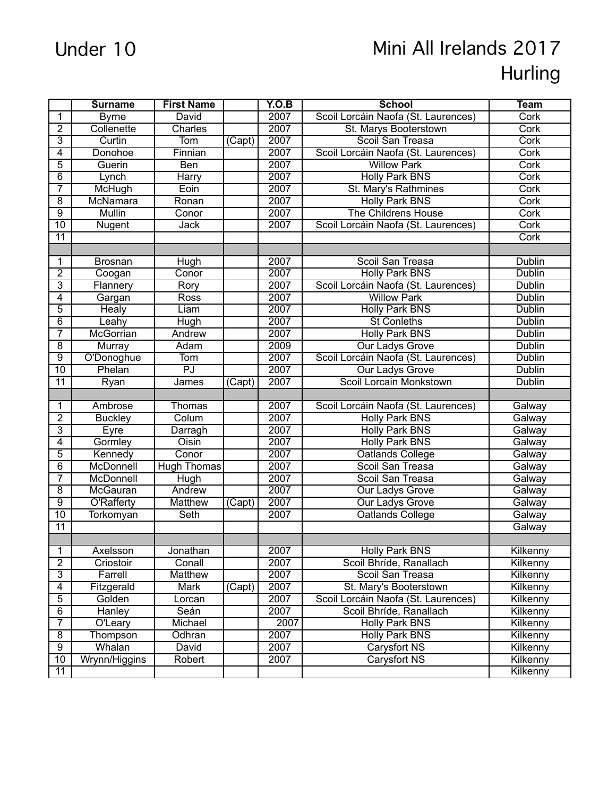## Under 10 Mini All Irelands 2017 Hurling

|                         | <b>Surname</b>    | <b>First Name</b>  |                     | Y.O.B | <b>School</b>                       | <b>Team</b>   |
|-------------------------|-------------------|--------------------|---------------------|-------|-------------------------------------|---------------|
| 1                       | <b>Byrne</b>      | David              |                     | 2007  | Scoil Lorcáin Naofa (St. Laurences) | Cork          |
| $\overline{2}$          | Collenette        | Charles            |                     | 2007  | St. Marys Booterstown               | Cork          |
| 3                       | Curtin            | Tom                | $\overline{(Capt)}$ | 2007  | Scoil San Treasa                    | Cork          |
| 4                       | Donohoe           | Finnian            |                     | 2007  | Scoil Lorcáin Naofa (St. Laurences) | Cork          |
| 5                       | Guerin            | Ben                |                     | 2007  | <b>Willow Park</b>                  | Cork          |
| 6                       | Lynch             | Harry              |                     | 2007  | <b>Holly Park BNS</b>               | Cork          |
| 7                       | McHugh            | Eoin               |                     | 2007  | St. Mary's Rathmines                | Cork          |
| $\overline{8}$          | McNamara          | Ronan              |                     | 2007  | <b>Holly Park BNS</b>               | Cork          |
| $\overline{9}$          | <b>Mullin</b>     | Conor              |                     | 2007  | <b>The Childrens House</b>          | Cork          |
| 10                      | Nugent            | Jack               |                     | 2007  | Scoil Lorcáin Naofa (St. Laurences) | Cork          |
| 11                      |                   |                    |                     |       |                                     | Cork          |
|                         |                   |                    |                     |       |                                     |               |
| 1                       | <b>Brosnan</b>    | Hugh               |                     | 2007  | Scoil San Treasa                    | <b>Dublin</b> |
| $\overline{2}$          | Coogan            | Conor              |                     | 2007  | <b>Holly Park BNS</b>               | <b>Dublin</b> |
| 3                       | Flannery          | Rory               |                     | 2007  | Scoil Lorcáin Naofa (St. Laurences) | Dublin        |
| 4                       | Gargan            | Ross               |                     | 2007  | <b>Willow Park</b>                  | Dublin        |
| 5                       | Healy             | Liam               |                     | 2007  | <b>Holly Park BNS</b>               | Dublin        |
| 6                       | Leahy             | Hugh               |                     | 2007  | <b>St Conleths</b>                  | Dublin        |
| 7                       | McGorrian         | Andrew             |                     | 2007  | <b>Holly Park BNS</b>               | Dublin        |
| $\overline{8}$          | Murray            | Adam               |                     | 2009  | <b>Our Ladys Grove</b>              | Dublin        |
| $\overline{9}$          | O'Donoghue        | Tom                |                     | 2007  | Scoil Lorcáin Naofa (St. Laurences) | <b>Dublin</b> |
| 10                      | Phelan            | PJ                 |                     | 2007  | <b>Our Ladys Grove</b>              | <b>Dublin</b> |
| $\overline{11}$         | Ryan              | James              | (Capt)              | 2007  | Scoil Lorcain Monkstown             | <b>Dublin</b> |
|                         |                   |                    |                     |       |                                     |               |
| 1                       | Ambrose           | <b>Thomas</b>      |                     | 2007  | Scoil Lorcáin Naofa (St. Laurences) | Galway        |
| $\overline{2}$          | <b>Buckley</b>    | Colum              |                     | 2007  | <b>Holly Park BNS</b>               | Galway        |
| 3                       | Eyre              | Darragh            |                     | 2007  | <b>Holly Park BNS</b>               | Galway        |
| 4                       | Gormley           | Oisin              |                     | 2007  | <b>Holly Park BNS</b>               | Galway        |
| 5                       | Kennedy           | Conor              |                     | 2007  | Oatlands College                    | Galway        |
| 6                       | McDonnell         | <b>Hugh Thomas</b> |                     | 2007  | Scoil San Treasa                    | Galway        |
| 7                       | McDonnell         | Hugh               |                     | 2007  | Scoil San Treasa                    | Galway        |
| $\overline{8}$          | McGauran          | Andrew             |                     | 2007  | Our Ladys Grove                     | Galway        |
| $\overline{9}$          | <b>O'Rafferty</b> | Matthew            | $\overline{(Capt)}$ | 2007  | Our Ladys Grove                     | Galway        |
| 10                      | Torkomyan         | Seth               |                     | 2007  | Oatlands College                    | Galway        |
| 11                      |                   |                    |                     |       |                                     | Galway        |
|                         |                   |                    |                     |       |                                     |               |
| 1                       | Axelsson          | Jonathan           |                     | 2007  | Holly Park BNS                      | Kilkenny      |
| $\overline{2}$          | Criostoir         | Conall             |                     | 2007  | Scoil Bhríde, Ranallach             | Kilkenny      |
| 3                       | Farrell           | Matthew            |                     | 2007  | Scoil San Treasa                    | Kilkenny      |
| 4                       | Fitzgerald        | Mark               | (Capt)              | 2007  | St. Mary's Booterstown              | Kilkenny      |
| $\overline{5}$          | Golden            | Lorcan             |                     | 2007  | Scoil Lorcáin Naofa (St. Laurences) | Kilkenny      |
| $\overline{6}$          | Hanley            | Seán               |                     | 2007  | Scoil Bhríde, Ranallach             | Kilkenny      |
| 7                       | O'Leary           | Michael            |                     | 2007  | <b>Holly Park BNS</b>               | Kilkenny      |
| $\overline{\mathbf{8}}$ | Thompson          | Ódhran             |                     | 2007  | Holly Park BNS                      | Kilkenny      |
| $\overline{9}$          | Whalan            | David              |                     | 2007  | Carysfort NS                        | Kilkenny      |
| $\overline{10}$         | Wrynn/Higgins     | Robert             |                     | 2007  | Carysfort NS                        | Kilkenny      |
| 11                      |                   |                    |                     |       |                                     | Kilkenny      |